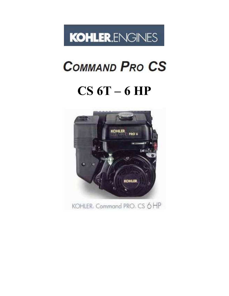

# **COMMAND PRO CS**

# **CS 6T – 6 HP**

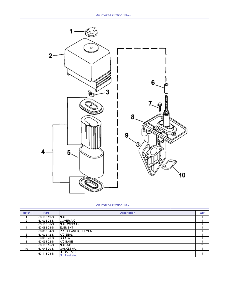

#### Air intake/Filtration 10-7-3

| Ref#          | Part        | <b>Description</b>                   | Qty |
|---------------|-------------|--------------------------------------|-----|
|               | 63 100 19-S | <b>NUT</b>                           |     |
| $\mathcal{P}$ | 63 096 05-S | COVER, A/C                           |     |
| 3             | 63 100 06-S | NUT, WING A/C                        |     |
| 4             | 63 083 03-S | <b>ELEMENT</b>                       |     |
| 5             | 63 083 04-S | <b>PRECLEANER, ELEMENT</b>           |     |
| 6             | 63 032 12-S | A/C SEAL                             |     |
|               | 63 086 20-S | <b>SCREW</b>                         |     |
| 8             | 63 094 02-S | A/C BASE                             |     |
| 9             | 63 100 15-S | NUT A/C                              | 2   |
| 10            | 63 041 20-S | <b>GASKET A/C</b>                    |     |
|               | 63 113 03-S | DECAL, A/C<br><b>Not Illustrated</b> |     |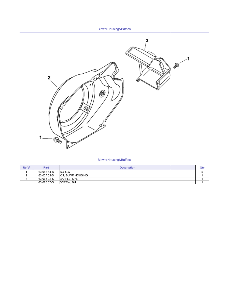

BlowerHousing&Baffles

| Ref # | Part        | <b>Description</b>       | Qty |
|-------|-------------|--------------------------|-----|
|       | 63 086 14-S | <b>SCREW</b>             |     |
| -     | 63 027 02-S | <b>KIT. BLWR HOUSING</b> |     |
| ັ     | 63 063 02-S | BAFFLE, CYL              |     |
|       | 63 086 07-S | <b>SCREW. BH</b>         |     |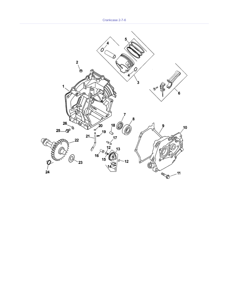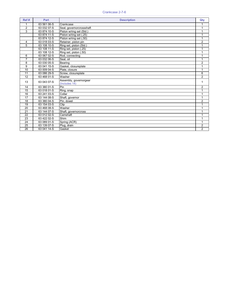#### Crankcase 2-7-6

| Ref#            | Part        | <b>Description</b>                      | Qty            |
|-----------------|-------------|-----------------------------------------|----------------|
| 1               | 63 561 06-S | Crankcase                               | 1              |
| 2               | 63 032 07-S | Seal, governorcrossshaft                |                |
| 3               | 63 874 10-S | Piston w/ring set (Std.)                | 1              |
|                 | 63 874 11-S | Piston w/ring set (.25)                 | 4              |
|                 | 63 874 12-S | Piston w/ring set (.50)                 | 1              |
| 4               | 63 018 03-S | Retainer, piston pin                    | $\overline{2}$ |
| 5               | 63 108 10-S | Ring set, piston (Std.)                 | 1              |
|                 | 63 108 11-S | Ring set, piston (.25)                  | 1              |
|                 | 63 108 12-S | Ring set, piston (.50)                  |                |
| 6               | 63 067 02-S | Rod, connecting                         | 1              |
| $\overline{7}$  | 63 032 06-S | Seal, oil                               | $\overline{1}$ |
| 8               | 63 030 05-S | Bearing                                 | $\overline{2}$ |
| 9               | 63 041 15-S | Gasket, closureplate                    | 1              |
| 10              | 63 009 04-S | Plate, closure                          | 1              |
| $\overline{11}$ | 63 086 29-S | Screw, closureplate                     | 6              |
| $\overline{12}$ | 63 468 01-S | Washer                                  | $\overline{2}$ |
| 13              | 63 043 07-S | Assembly, governorgear<br>(Includes 14) | $\mathbf 1$    |
| 14              | 63 380 01-S | Pin                                     | $\overline{2}$ |
| 15              | 63 018 01-S | Ring, snap                              | 1              |
| $\overline{16}$ | 63 241 03-S | Collar                                  | 1              |
| $\overline{17}$ | 63 144 08-S | Shaft, governor                         | 1              |
| 18              | 63 380 04-S | Pin, dowel                              | $\overline{2}$ |
| 19              | 63 154 03-S | Clip                                    | 1              |
| 20              | 63 468 08-S | Washer                                  | 4              |
| 21              | 63 144 07-S | Shaft, governorcross                    |                |
| 22              | 63 012 02-S | Camshaft                                |                |
| $\overline{23}$ | 63 422 02-S | Shim                                    | 1              |
| $\overline{24}$ | 63 089 01-S | Spring (ACR)                            | 1              |
| $\overline{25}$ | 63 139 07-S | Plug, drain                             | $\overline{2}$ |
| $\overline{26}$ | 63 041 14-S | Gasket                                  | $\overline{2}$ |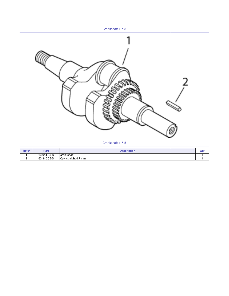Crankshaft 1-7-5



#### Crankshaft 1-7-5

| Ref#     | Part        | <b>Description</b>                      | Qt |
|----------|-------------|-----------------------------------------|----|
|          | 63 014 05-S | Crankshaft                              |    |
| <u>.</u> | 63 340 05-S | Key.<br>straight 4.7<br>mm <sup>7</sup> |    |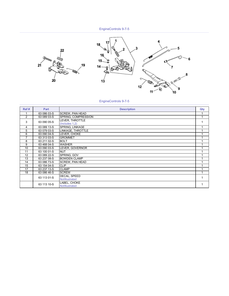



# EngineControls 9-7-5

| Ref# | Part        | <b>Description</b>                | Qty |
|------|-------------|-----------------------------------|-----|
|      | 63 086 03-S | <b>SCREW, PAN HEAD</b>            |     |
| 2    | 63 089 03-S | SPRING, COMPRESSION               | 1   |
| 3    | 63 090 05-S | LEVER, THROTTLE<br>(Includes 1,2) |     |
| 4    | 63 089 13-S | <b>SPRING, LINKAGE</b>            |     |
| 5    | 63 079 03-S | LINKAGE, THROTTLE                 |     |
| 6    | 63 090 04-S | LEVER, CHOKE                      |     |
| 7    | 63 313 03-S | <b>GROMMET</b>                    |     |
| 8    | $6321102-S$ | <b>BOLT</b>                       |     |
| 9    | 63 468 04-S | <b>WASHER</b>                     |     |
| 10   | 63 090 03-S | LEVER, GOVERNOR                   |     |
| 11   | 63 100 01-S | <b>NUT</b>                        |     |
| 12   | 63 089 22-S | SPRING, GOV                       |     |
| 13   | 63 237 08-S | <b>BOWDEN CLAMP</b>               |     |
| 14   | 63 086 73-S | <b>SCREW, PAN HEAD</b>            |     |
| 15   | 63 154 04-S | <b>CLIP</b>                       |     |
| 17   | 63 237 13-S | <b>CLAMP</b>                      |     |
| 18   | 63 086 46-S | <b>SCREW</b>                      |     |
|      | 63 113 01-S | DECAL, SPEED<br>NotIllustrated    |     |
|      | 63 113 10-S | LABEL, CHOKE<br>NotIllustrated    | 1   |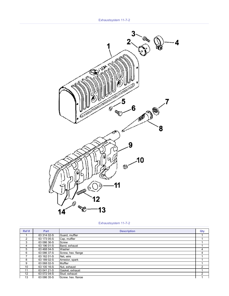

Exhaustsystem 11-7-2

| Ref#          | Part        | <b>Description</b> | Qty |
|---------------|-------------|--------------------|-----|
|               | 63 314 02-S | Guard, muffler     |     |
| $\mathcal{P}$ | 63 173 05-S | Cap, muffler       |     |
| 3             | 63 086 36-S | Screw              |     |
| 4             | 63 196 01-S | Band, exhaust      |     |
| 5             | 63 468 04-S | Washer             | 4   |
| 6             | 63 086 37-S | Screw, hex. flange | 4   |
|               | 63 162 01-S | Net, wire          |     |
| 8             | 63 189 02-S | Arrestor, spark    |     |
| 9             | 63 068 02-S | <b>Muffler</b>     |     |
| 10            | 63 100 16-S | Nut, exhaust       | 2   |
| 11            | 63 041 21-S | Gasket, exhaust    |     |
| 12            | 63 072 04-S | Stud, exhaust      | 2   |
| 13            | 63 086 35-S | Screw, hex. flange |     |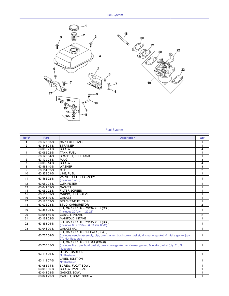

# Fuel System

| Ref #           | Part            | <b>Description</b>                                                                                                                                                   | Qty            |
|-----------------|-----------------|----------------------------------------------------------------------------------------------------------------------------------------------------------------------|----------------|
| 1               | 63 173 03-S     | CAP, FUEL TANK                                                                                                                                                       | 1              |
| $\overline{2}$  | 63 444 01-S     | <b>STRAINER</b>                                                                                                                                                      | 1              |
| 3               | 63 086 21-S     | <b>SCREW</b>                                                                                                                                                         | 4              |
| 4               | 63 065 02-S     | TANK, FUEL                                                                                                                                                           | $\mathbf{1}$   |
| 5               | 63 126 04-S     | <b>BRACKET, FUEL TANK</b>                                                                                                                                            | $\mathbf{1}$   |
| 6               | 63 139 04-S     | <b>PLUG</b>                                                                                                                                                          | 3              |
| $\overline{7}$  | 63 086 14-S     | <b>SCREW</b>                                                                                                                                                         | 4              |
| 8               | 63 468 10-S     | <b>WASHER</b>                                                                                                                                                        | 3              |
| 9               | 63 154 02-S     | <b>CLIP</b>                                                                                                                                                          | $\overline{2}$ |
| 10              | $63\,353\,01-S$ | LINE. FUEL                                                                                                                                                           | 1              |
| 11              | 63 462 02-S     | VALVE, FUEL COCK ASSY<br>$(Includes 12-16)$                                                                                                                          | $\mathbf{1}$   |
| 12              | 63 050 01-S     | <b>CUP. FILTER</b>                                                                                                                                                   | 1              |
| 13              | 63 041 09-S     | <b>GASKET</b>                                                                                                                                                        | $\mathbf{1}$   |
| 14              | 63 050 02-S     | <b>FILTER SCREEN</b>                                                                                                                                                 | $\mathbf{1}$   |
| $\overline{15}$ | 63 153 09-S     | O-RING, FUEL VALVE                                                                                                                                                   | 1              |
| $\overline{16}$ | 63 041 10-S     | <b>GASKET</b>                                                                                                                                                        | $\mathbf{1}$   |
| $\overline{17}$ | 63 126 03-S     | <b>BRACKET-FUEL TANK</b>                                                                                                                                             | $\mathbf{1}$   |
| $\overline{18}$ | 63 072 03-S     | <b>STUD, CARBURETOR</b>                                                                                                                                              | $\overline{2}$ |
| 19              | 63 853 05-S     | KIT. CARBURETOR W/GASKET (CS6)<br>(Includes 20 [qty. 1], 22, 23)                                                                                                     | $\mathbf{1}$   |
| 20              | 63 041 19-S     | <b>GASKET, INTAKE</b>                                                                                                                                                | $\overline{2}$ |
| $\overline{21}$ | 63 164 02-S     | MANIFOLD, INTAKE                                                                                                                                                     | $\mathbf{1}$   |
| 22              | 63 853 05-S     | KIT, CARBURETOR W/GASKET (CS6)<br>(Includes 63 757 04-S & 63 757 05-S)                                                                                               | 1              |
| $\overline{23}$ | 63 041 20-S     | <b>GASKET A/C</b>                                                                                                                                                    | 1              |
|                 | 63 757 04-S     | KIT, CARBURETOR REPAIR (CS4,6)<br>(Includes needle assembly, clip, bowl gasket, bowl screw gasket, air cleaner gasket, & intake gasket [gty,<br>21); Not Illustrated | 1              |
|                 | 63 757 05-S     | KIT, CARBURETOR FLOAT (CS4,6)<br>(Includes float, pin, bowl gasket, bowl screw gasket, air cleaner gasket, & intake gasket [qty. 2]); Not<br><b>Illustrated</b>      | 1              |
|                 | 63 113 06-S     | <b>DECAL, CAUTION</b><br>NotIllustrated                                                                                                                              | $\mathbf{1}$   |
|                 | 63 113 07-S     | <b>LABEL. IGNITION</b><br>NotIllustrated                                                                                                                             | $\mathbf{1}$   |
|                 | 63 086 71-S     | <b>SCREW, FLOAT BOWL</b>                                                                                                                                             | 1              |
|                 | 63 086 86-S     | <b>SCREW, PAN HEAD</b>                                                                                                                                               | 1              |
|                 | 63 041 28-S     | <b>GASKET, BOWL</b>                                                                                                                                                  | 1              |
|                 | 63 041 29-S     | <b>GASKET, BOWL SCREW</b>                                                                                                                                            | $\mathbf{1}$   |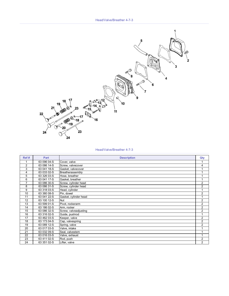

#### Head/Valve/Breather 4-7-3

| Ref#           | Part        | <b>Description</b>    | Qty            |
|----------------|-------------|-----------------------|----------------|
| 1              | 63 096 04-S | Cover, valve          |                |
| $\overline{2}$ | 63 086 14-S | Screw, valvecover     | 4              |
| 3              | 63 041 18-S | Gasket, valvecover    |                |
| 4              | 63 033 02-S | Breatherassembly      |                |
| 5              | 63 326 03-S | Hose, breather        |                |
| 6              | 63 041 17-S | Gasket, breather      |                |
| $\overline{7}$ | 63 086 30-S | Screw, cylinder head  | $\overline{2}$ |
| 8              | 63 086 31-S | Screw, cylinder head  | $\overline{2}$ |
| 9              | 63 318 03-S | Head, cylinder        |                |
| 10             | 63 380 08-S | Pin, dowel            | $\overline{2}$ |
| 11             | 63 041 22-S | Gasket, cylinder head |                |
| 12             | 63 100 12-S | <b>Nut</b>            | $\overline{2}$ |
| 13             | 63 599 01-S | Pivot, rockerarm      | $\overline{2}$ |
| 14             | 63 186 02-S | Arm, rocker           | $\overline{2}$ |
| 15             | 63 086 32-S | Screw, valveadjusting | $\overline{2}$ |
| 16             | 63 316 02-S | Guide, pushrod        |                |
| 17             | 63 462 03-S | Keeper, valve         | $\overline{2}$ |
| 18             | 63 173 04-S | Cap, valvespring      | $\overline{2}$ |
| 19             | 63 089 12-S | Spring, valve         | $\overline{2}$ |
| 20             | 63 017 03-S | Valve, intake         |                |
| 21             | 63 032 09-S | Seal, valvestem       |                |
| 22             | 63 016 03-S | Valve, exhaust        |                |
| 23             | 63 411 02-S | Rod, push             | $\overline{2}$ |
| 24             | 63 351 02-S | Lifter, valve         | $\overline{2}$ |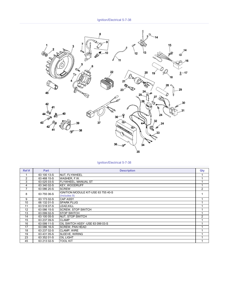

Ignition/Electrical 5-7-38

| Ref#           | Part        | <b>Description</b>                                  | Qty |
|----------------|-------------|-----------------------------------------------------|-----|
|                | 63 100 13-S | NUT, FLYWHEEL                                       |     |
| $\overline{2}$ | 63 468 15-S | WASHER, F.W.                                        |     |
| 3              | 63 025 03-S | <b>FLYWHEEL, MANUAL ST</b>                          |     |
| 4              | 63 340 02-S | <b>KEY, WOODRUFF</b>                                |     |
| 7              | 63 086 20-S | <b>SCREW</b>                                        | 2   |
| 8              | 63 755 06-S | IGNITION MODULE KIT-USE 63 755 40-S<br>(Includes 9) |     |
| 9              | 63 173 02-S | <b>CAP ASSY</b>                                     |     |
| 10             | 66 132 01-S | <b>SPARK PLUG</b>                                   |     |
| 11             | 63 518 07-S | <b>LEAD.KILL</b>                                    |     |
| 12             | 63 086 15-S | <b>SCREW, STOP SWITCH</b>                           |     |
| 13             | 63 099 02-S | <b>ISTOP SWITCH</b>                                 |     |
| 14             | 63 100 05-S | NUT, STOP SWITCH                                    | 2   |
| 15             | 63 237 09-S | <b>CLAMP</b>                                        |     |
| 16             | 63 099 11-S | OIL SWITCH ASSY -USE 63 099 03-S                    |     |
| 17             | 63 086 16-S | <b>SCREW, PAN HEAD</b>                              |     |
| 18             | 63 237 02-S | <b>CLAMP, WIRE</b>                                  |     |
| 19             | 63 431 05-S | <b>SLEEVE, WIRING</b>                               |     |
| 23             | 63 352 01-S | <b>OIL LIGHT</b>                                    |     |
| 45             | 63 213 02-S | <b>TOOL KIT</b>                                     |     |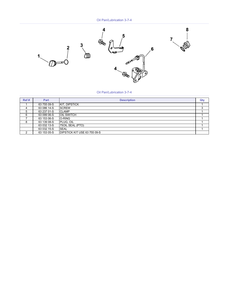Oil Pan/Lubrication 3-7-4



Oil Pan/Lubrication 3-7-4

| Ref# | Part        | <b>Description</b>                   | Qty     |
|------|-------------|--------------------------------------|---------|
|      | 63 755 09-S | <b>KIT. DIPSTICK</b>                 |         |
| 4    | 63 086 14-S | <b>SCREW</b>                         | ົ<br>د، |
| 5    | 63 237 01-S | <b>CLAMP</b>                         |         |
| 6    | 63 099 06-S | <b>OIL SWITCH</b>                    |         |
|      | 63 153 06-S | <b>O-RING</b>                        |         |
| 8    | 63 139 08-S | PLUG, OIL                            |         |
|      | 63 032 13-S | 750IL SEAL (PTO)                     |         |
|      | 63 032 15-S | <b>SEAL</b>                          |         |
| າ    | 63 153 05-S | <b>IDIPSTICK KIT USE 63 755 09-S</b> |         |